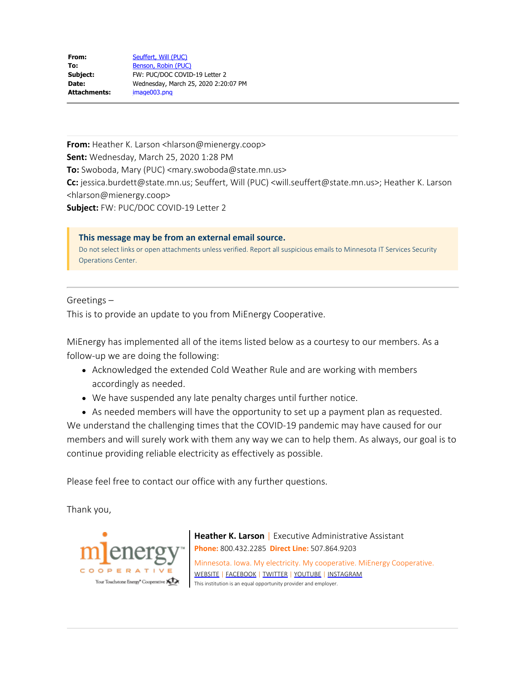| From:        | Seuffert, Will (PUC)                 |
|--------------|--------------------------------------|
| To:          | Benson, Robin (PUC)                  |
| Subject:     | FW: PUC/DOC COVID-19 Letter 2        |
| Date:        | Wednesday, March 25, 2020 2:20:07 PM |
| Attachments: | image003.png                         |
|              |                                      |

**From:** Heather K. Larson <hlarson@mienergy.coop> **Sent:** Wednesday, March 25, 2020 1:28 PM **To:** Swoboda, Mary (PUC) <mary.swoboda@state.mn.us> **Cc:** jessica.burdett@state.mn.us; Seuffert, Will (PUC) <will.seuffert@state.mn.us>; Heather K. Larson <hlarson@mienergy.coop> **Subject:** FW: PUC/DOC COVID-19 Letter 2

**This message may be from an external email source.** Do not select links or open attachments unless verified. Report all suspicious emails to Minnesota IT Services Security Operations Center.

Greetings –

This is to provide an update to you from MiEnergy Cooperative.

MiEnergy has implemented all of the items listed below as a courtesy to our members. As a follow-up we are doing the following:

- Acknowledged the extended Cold Weather Rule and are working with members accordingly as needed.
- We have suspended any late penalty charges until further notice.
- As needed members will have the opportunity to set up a payment plan as requested.

We understand the challenging times that the COVID-19 pandemic may have caused for our members and will surely work with them any way we can to help them. As always, our goal is to continue providing reliable electricity as effectively as possible.

Please feel free to contact our office with any further questions.

Thank you,



**Heather K. Larson** | Executive Administrative Assistant **Phone:** 800.432.2285 **Direct Line:** 507.864.9203 Minnesota. Iowa. My electricity. My cooperative. MiEnergy Cooperative. [WEBSITE](https://gcc01.safelinks.protection.outlook.com/?url=http%3A%2F%2Fwww.mienergy.coop%2F&data=02%7C01%7Crobin.benson%40state.mn.us%7Ccf2e95d2c9de4b762dec08d7d0f186e5%7Ceb14b04624c445198f26b89c2159828c%7C0%7C0%7C637207608071830416&sdata=uVOKVaUuPG4WiiaEZEXREXCRx%2F1GUAbk3McXbsOWMAQ%3D&reserved=0) | [FACEBOOK](https://gcc01.safelinks.protection.outlook.com/?url=https%3A%2F%2Fwww.facebook.com%2FMiEnergy-Coop-144737275874367%2F%3Fhc_ref%3DPAGES_TIMELINE&data=02%7C01%7Crobin.benson%40state.mn.us%7Ccf2e95d2c9de4b762dec08d7d0f186e5%7Ceb14b04624c445198f26b89c2159828c%7C0%7C0%7C637207608071830416&sdata=GS6bm767M4%2BtOtpyOjM3LgyiYTZOEZzzaIiswVawAYE%3D&reserved=0) | [TWITTER](https://gcc01.safelinks.protection.outlook.com/?url=https%3A%2F%2Ftwitter.com%2FMiEnergyCoop&data=02%7C01%7Crobin.benson%40state.mn.us%7Ccf2e95d2c9de4b762dec08d7d0f186e5%7Ceb14b04624c445198f26b89c2159828c%7C0%7C0%7C637207608071840365&sdata=G1QbgEHf9Nop7sdaS6Wjg4GKexVpQT8g1HYXwkThvqo%3D&reserved=0) | [YOUTUBE](https://gcc01.safelinks.protection.outlook.com/?url=https%3A%2F%2Fwww.youtube.com%2Fchannel%2FUC_CYpQ_1Sc4sAzbWycVY6yg&data=02%7C01%7Crobin.benson%40state.mn.us%7Ccf2e95d2c9de4b762dec08d7d0f186e5%7Ceb14b04624c445198f26b89c2159828c%7C0%7C0%7C637207608071840365&sdata=dpp1IUf0vuEsyFp2Cpu6sT2ezPTh6fI%2FmMx2vPBNlVw%3D&reserved=0) | [INSTAGRAM](https://gcc01.safelinks.protection.outlook.com/?url=https%3A%2F%2Fwww.instagram.com%2Fmienergycoop%2F&data=02%7C01%7Crobin.benson%40state.mn.us%7Ccf2e95d2c9de4b762dec08d7d0f186e5%7Ceb14b04624c445198f26b89c2159828c%7C0%7C0%7C637207608071840365&sdata=mBkjqAjN4PLG8fpIRPL1ag8PSoFY1V0f%2B2kHGKf4fXA%3D&reserved=0) This institution is an equal opportunity provider and employer.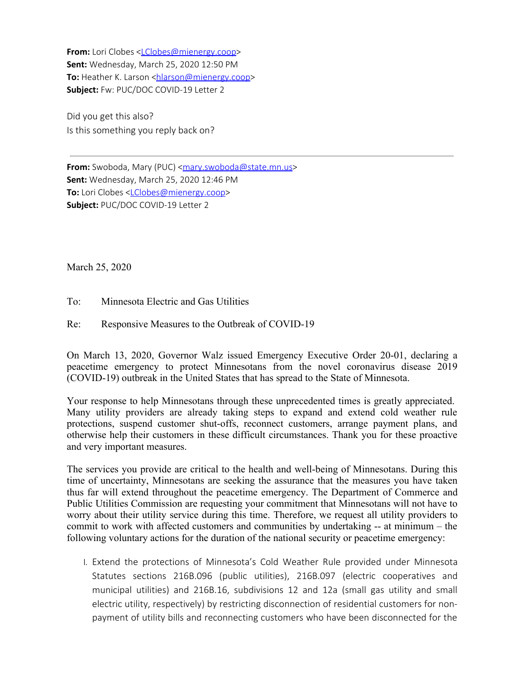**From:** Lori Clobes <[LClobes@mienergy.coop](mailto:LClobes@mienergy.coop)> **Sent:** Wednesday, March 25, 2020 12:50 PM **To:** Heather K. Larson [<hlarson@mienergy.coop](mailto:hlarson@mienergy.coop)> **Subject:** Fw: PUC/DOC COVID-19 Letter 2

Did you get this also? Is this something you reply back on?

From: Swoboda, Mary (PUC) [<mary.swoboda@state.mn.us](mailto:mary.swoboda@state.mn.us)> **Sent:** Wednesday, March 25, 2020 12:46 PM **To:** Lori Clobes <[LClobes@mienergy.coop](mailto:LClobes@mienergy.coop)> **Subject:** PUC/DOC COVID-19 Letter 2

March 25, 2020

To: Minnesota Electric and Gas Utilities

Re: Responsive Measures to the Outbreak of COVID-19

On March 13, 2020, Governor Walz issued Emergency Executive Order 20-01, declaring a peacetime emergency to protect Minnesotans from the novel coronavirus disease 2019 (COVID-19) outbreak in the United States that has spread to the State of Minnesota.

Your response to help Minnesotans through these unprecedented times is greatly appreciated. Many utility providers are already taking steps to expand and extend cold weather rule protections, suspend customer shut-offs, reconnect customers, arrange payment plans, and otherwise help their customers in these difficult circumstances. Thank you for these proactive and very important measures.

The services you provide are critical to the health and well-being of Minnesotans. During this time of uncertainty, Minnesotans are seeking the assurance that the measures you have taken thus far will extend throughout the peacetime emergency. The Department of Commerce and Public Utilities Commission are requesting your commitment that Minnesotans will not have to worry about their utility service during this time. Therefore, we request all utility providers to commit to work with affected customers and communities by undertaking -- at minimum – the following voluntary actions for the duration of the national security or peacetime emergency:

I. Extend the protections of Minnesota's Cold Weather Rule provided under Minnesota Statutes sections 216B.096 (public utilities), 216B.097 (electric cooperatives and municipal utilities) and 216B.16, subdivisions 12 and 12a (small gas utility and small electric utility, respectively) by restricting disconnection of residential customers for nonpayment of utility bills and reconnecting customers who have been disconnected for the